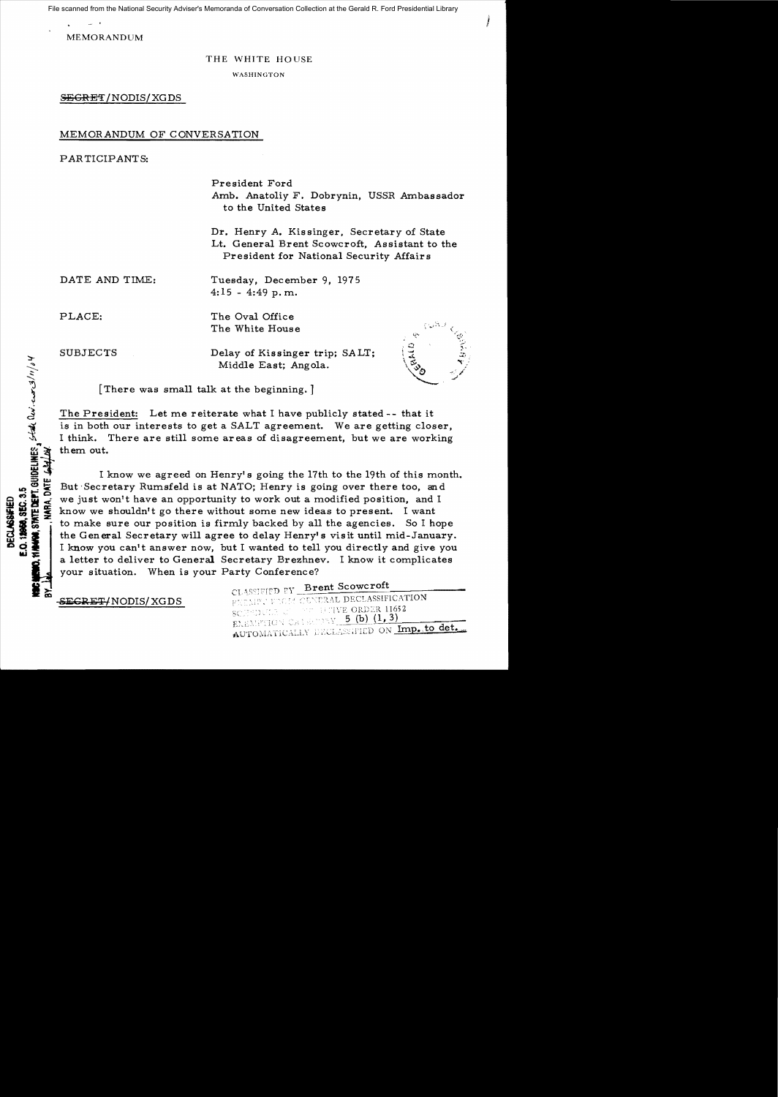File scanned from the National Security Adviser's Memoranda of Conversation Collection at the Gerald R. Ford Presidential Library

MEMORANDUM

#### THE WHITE HOUSE

WASHINGTON

SEGRET/NODIS/XGDS

# MEMORANDUM OF CONVERSATION

PARTICIPANTS:

President Ford Amb. Anatoliy F. Dobrynin, USSR Ambassador to the United States

Dr. Henry A. Kissinger, Secretary of State Lt. General Brent Scowcroft, Assistant to the President for National Security Affairs

DATE AND TIME:

Tuesday, December 9, 1975  $4:15 - 4:49$  p.m.

PLACE:

The Oval Office The White House

SUBJECTS

STATE DEPT. GUIDELINES,  $5540$  (i.v.  $-\cos(3/n)/34$ 

**BGB. SEC. 3.5** 

Delay of Kissinger trip; SALT; Middle East; Angola.



J

[There was sma11 talk at the beginning. J

The President: Let me reiterate what I have publicly stated -- that it is in both our interests to get a SALT agreement. We are getting closer, I think. There are still some areas of disagreement, but we are working them out.

I know we agreed on Henry's going the 17th to the 19th of this month. But Secretary Rumsfeld is at NATO; Henry is going over there too, and FOR THIS WE JUST WE just won't have an opportunity to work out a modified position, and I<br>
SERVICE IN NOW WE shouldn't go there without some new ideas to present. I want<br>
SERVICE TO make sure our position is firmly backed we just won't have an opportunity to work out a modified position, and I<br>we shouldn't go there without some new ideas to present. I want<br>to make sure our position is firmly backed by all the agencies. So I hope<br>the General to make sure our position is firmly backed by all the agencies. So I hope I know you can't answer now, but I wanted to tell you directly and give you  $\frac{1}{2}$ a letter to deliver to General Secretary Brezhnev. I know it complicates your situation. When is your Party Conference?

CLASSIFIED EY Brent Scowcroft SEGRET/NODIS/XGDS PREMIER FROM CENERAL DECLASSIFICATION 10 TIVE ORDER 11652 screptche d EXEMPTION CALCERY  $5$  (b)  $(1,3)$ AUTOMATICALLY DECLASSIFIED ON Imp. to det.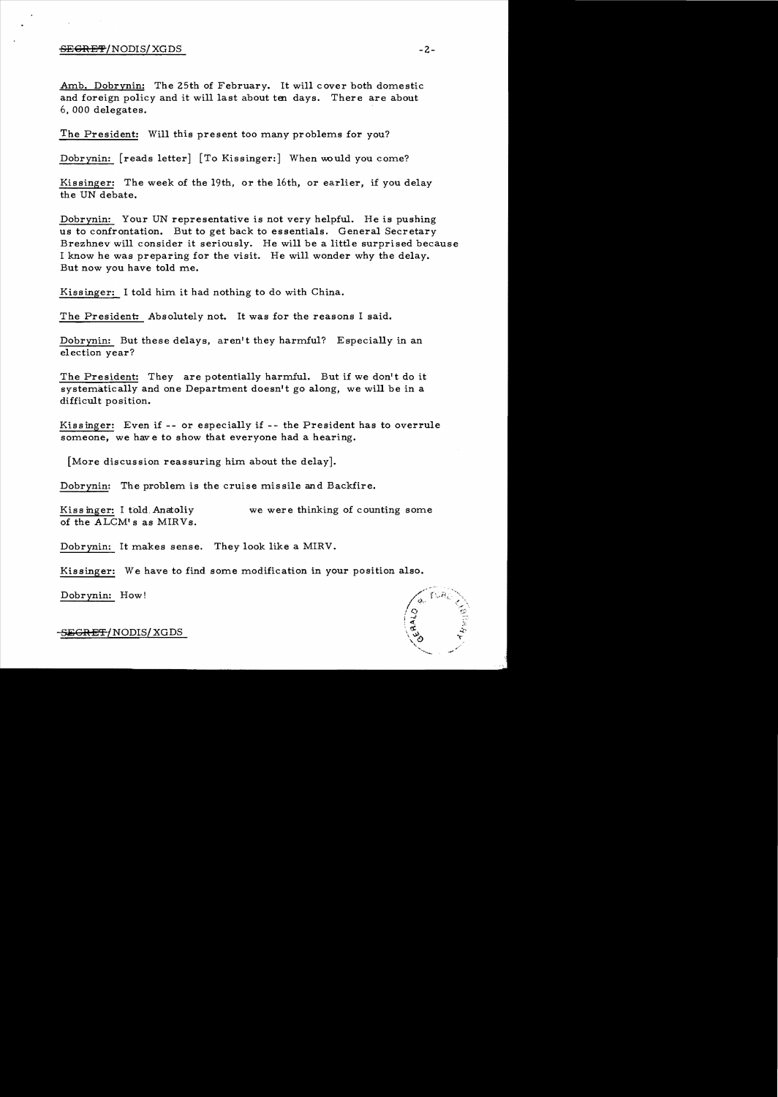#### $S$ E $G$ RE $T$ /NODIS/ XGDS  $-2$ - $-2$

Amb. Dobrynin: The 25th of February. It will cover both domestic and foreign policy and it will last about ten days. There are about 6, 000 delegates.

The President: Will this present too many problems for you?

Dobrynin: [reads letter] [To Kissinger:] When would you come?

Kissinger: The week of the 19th, or the 16th, or earlier, if you delay the UN debate.

Dobrynin: Your UN representative is not very helpful. He is pushing us to confrontation. But to get back to essentials. General Secretary Brezhnev will consider it seriously. He will be a little surprised because I know he was preparing for the visit. He will wonder why the delay. But now you have told me.

Kissinger: I told him it had nothing to do with China.

The President: Absolutely not. It was for the reasons I said.

Dobrynin: But these delays, aren't they harmful? Especially in an election year?

The President: They are potentially harmful. But if we don't do it systematically and one Department doesn't go along, we will be in a difficult position.

Kissinger: Even if -- or especially if -- the President has to overrule someone, we have to show that everyone had a hearing.

[More discussion reassuring him about the delay].

Dobrynin: The problem is the cruise missile and Backfire.

Kiss inger: I told. Anatoliy we were thinking of counting some of the ALCM' s as MIRVs.

Dobrynin: It makes sense. They look like a MIRV.

Kissinger: We have to find some modification in your position also.

Dobrynin: How!

-<del>SECRET/</del>NODIS/ XGDS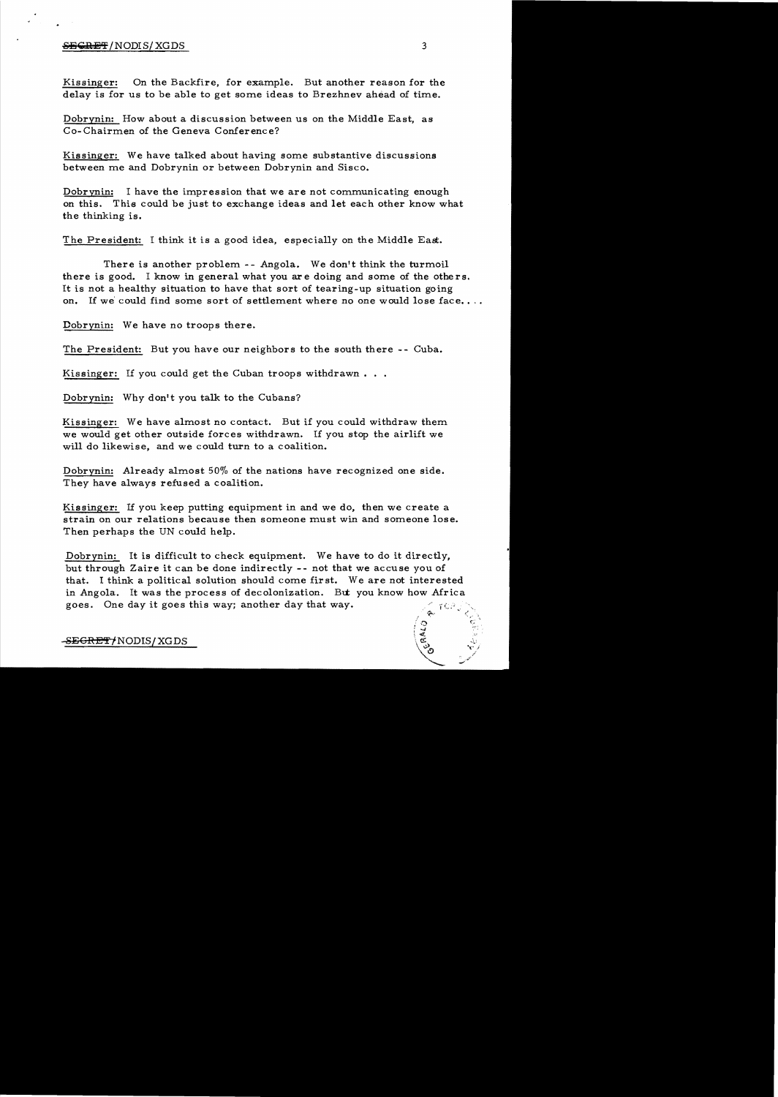### **SECRET**/NODIS/XGDS 3

Kissinger: On the Backfire, for example. But another reason for the delay is for us to be able to get some ideas to Brezhnev ahead of time.

Dobrynin: How about a discussion between us on the Middle East, as Co-Chairmen of the Geneva Conference?

Kissinger: We have talked about having some substantive discussions between me and Dobrynin or between Dobrynin and Sisco.

Dobrynin: I have the impression that we are not communicating enough on this. This could be just to exchange ideas and let each other know what the thinking is.

The President: I think it is a good idea, especially on the Middle East.

There is another problem -- Angola. We don't think the turmoil there is good. I know in general what you ar e doing and some of the othe rs. It is not a healthy situation to have that sort of tearing-up situation going on. If we could find some sort of settlement where no one would lose face...

Dobrynin: We have no troops there.

The President: But you have our neighbors to the south there -- Cuba.

Kissinger: If you could get the Cuban troops withdrawn...

Dobrynin: Why don't you talk to the Cubans?

Kissinger: We have almost no contact. But if you could withdraw them we would get other outside forces withdrawn. If you stop the airlift we will do likewise, and we could turn to a coalition.

Dobrynin: Already almost 50% of the nations have recognized one side. They have always refused a coalition.

Kissinger: If you keep putting equipment in and we do, then we create a strain on our relations because then someone must win and someone lose. Then perhaps the UN could help.

Dobrynin: It is difficult to check equipment. We have to do it directly, but through Zaire it can be done indirectly -- not that we accuse you of that. I think a political solution should come first. We are not interested in Angola. It was the process of decolonization. But you know how Africa goes. One day it goes this way; another day that way.  $\sqrt{2}$ 

 $\degree$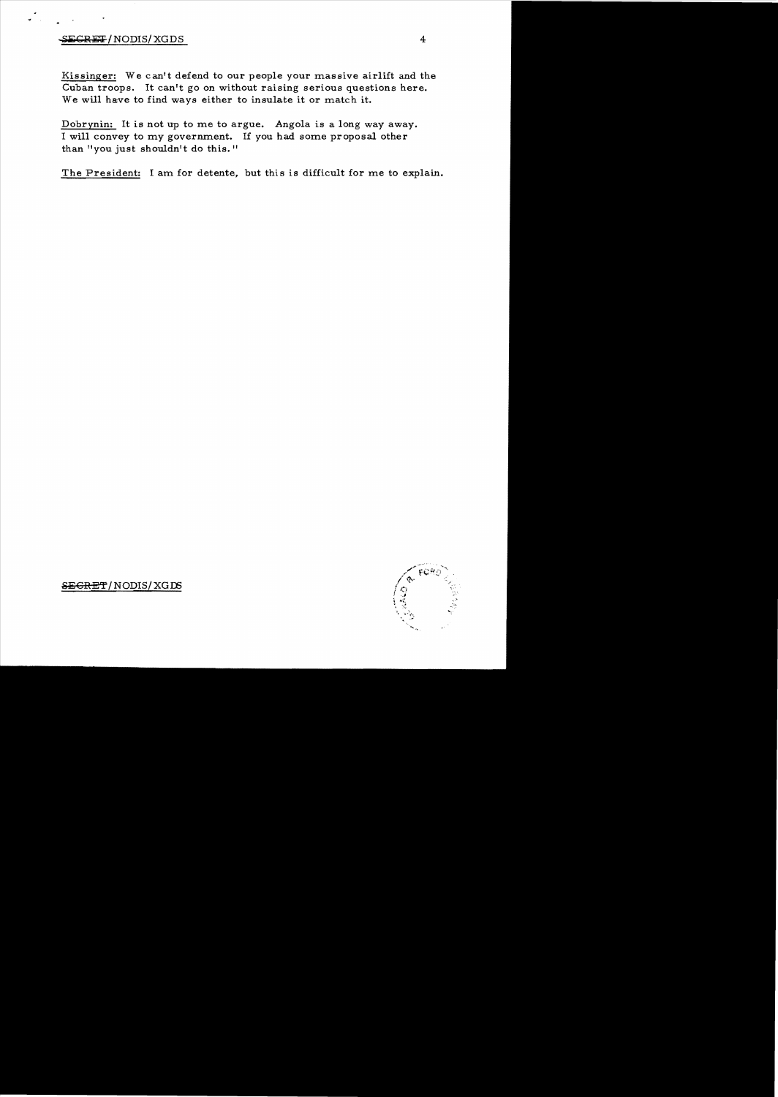# $-$ SECRET/NODIS/XGDS 4

Kissinger: We can't defend to our people your massive airlift and the Cuban troops. It can't go on without raising serious questions here. We will have to find ways either to insulate it or match it.

Dobrynin: It is not up to me to argue. Angola is a long way away. I will convey to my government. If you had some proposal other than "you just shouldn't do this."

The President: I am for detente, but this is difficult for me to explain.



 $S\rightarrow$ EGRET/NODIS/XGDS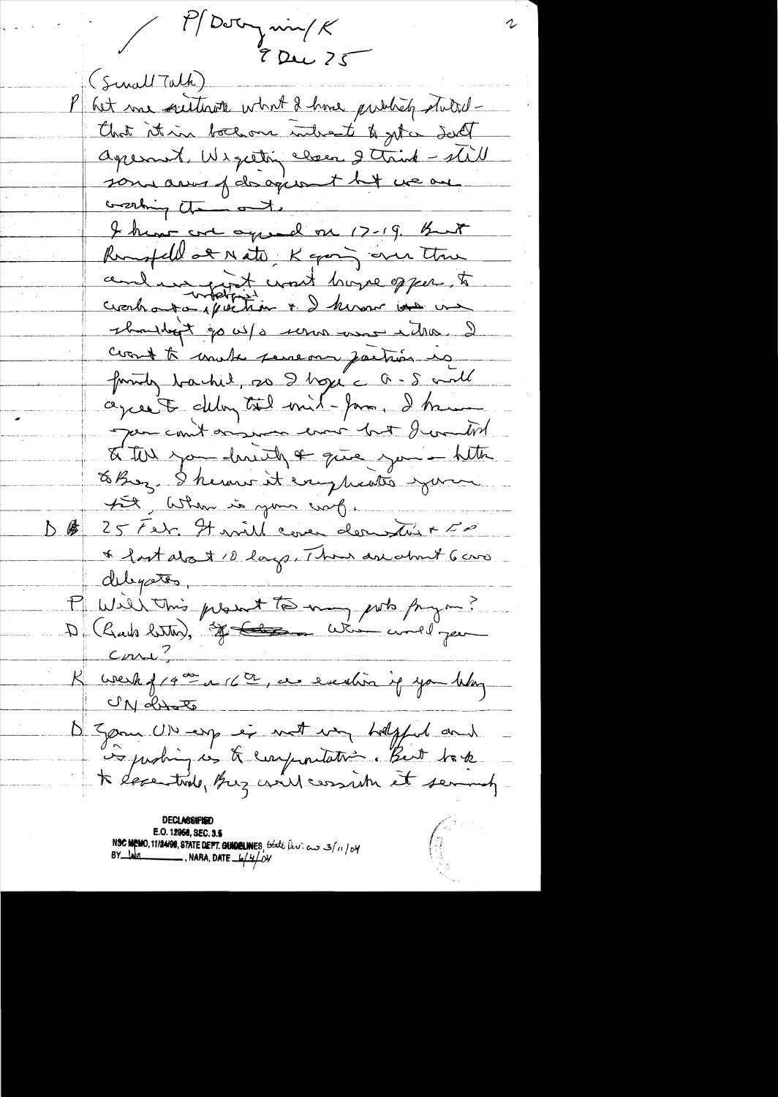$\frac{1}{\sqrt{2\pi}}$   $\frac{1}{\sqrt{2\pi}}$   $\frac{1}{\sqrt{2\pi}}$  $70u/25$ (Sinall Talk) het me suitevoir what I have publicly stutedthat it in bothom interest & get a deed apernet, Wigetting closer 2 trink - still som avis j'disagement tit ve au working the ot I have are agreed on 17-19. But Remotell at Nato, K going over the cendiavagget comet hoyer offer to C anti-course avec a) is type type to coast to unable perseoan partir us formity backed, as I hope a - 5 and agree to deling tool mil-game, I have Jour count originar ever but I wonted I the you don't a give you - http to Brez. I herour it every heater you put, When is your craft. 25 ret Havill cover derne sui a 50 △蜃 \* fast about 10 large, Than are what 6 cm delegates, P Will This plant to my pot prym?  $C_{UV}$  $R$  week f  $74 \frac{m}{c}$  or  $76 \frac{m}{c}$ , as evention if you they UN drate D'Egone UN esp et vet ver helpful and is justing in the every initation. But took E.O. 12958, SEC. 3.5<br>NSC MEMO, 11/24/98, STATE DEPT. GUIDELINES, State (kv. cur 3/11/04<br>BY 140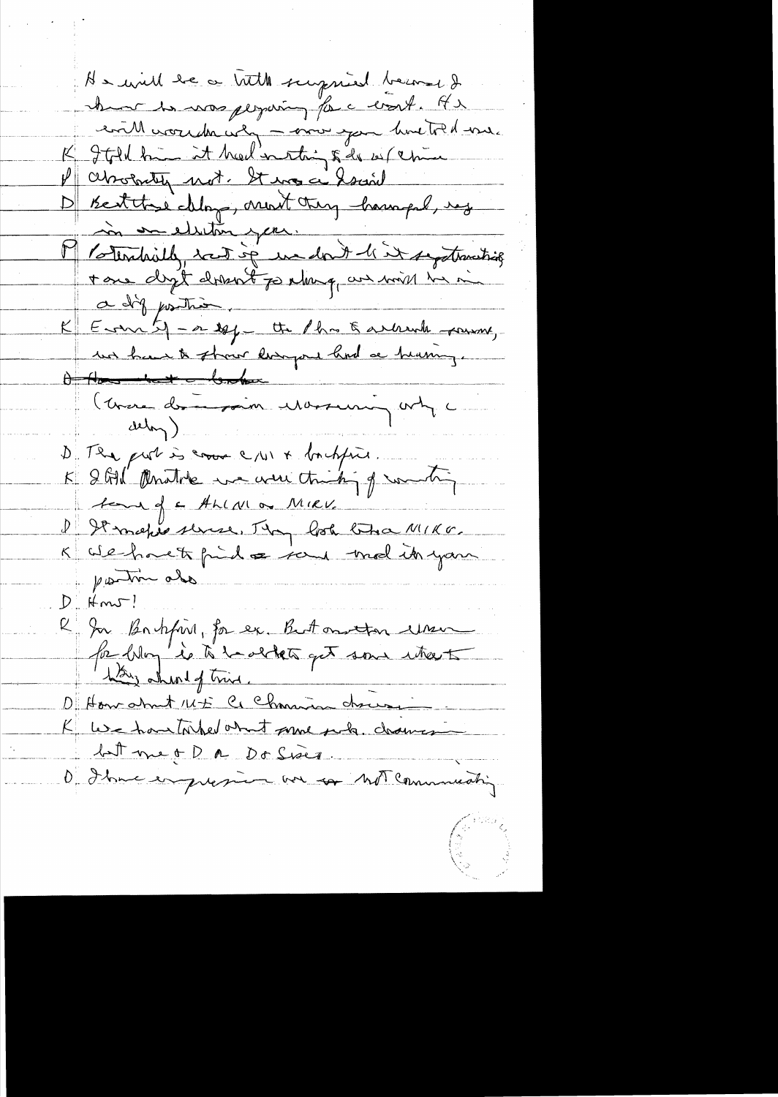He will be a bitte surpried become have to was perparing for a work. Ar eville correcte use - mor you have told me. K Ital him it head in this & do us (china P aboratin not. It was a horaril D'Bertthe May, mont try hompel, reg Potenhoith, sont sé un dont l'it septementique  $\Box$ a dig position. K Emit - a 10 ft des Earbruik soums,  $\theta$ (Corse dominant Massuring orty c delong) D'Il put is come c/u1 + bochfine. K 2 GM Anothe me amiching of water D It make sense, Thy look that MIKE. postin ale  $D$  Hm $J$ ! l'In Bartyring, for ex. But on ton une .<br>Pa Way is to barthets get some uters hay aheal of this. D'Hourshut 145 le Channier choire <u>Latt me + D a Do Sises.</u> O I have enguesime au communication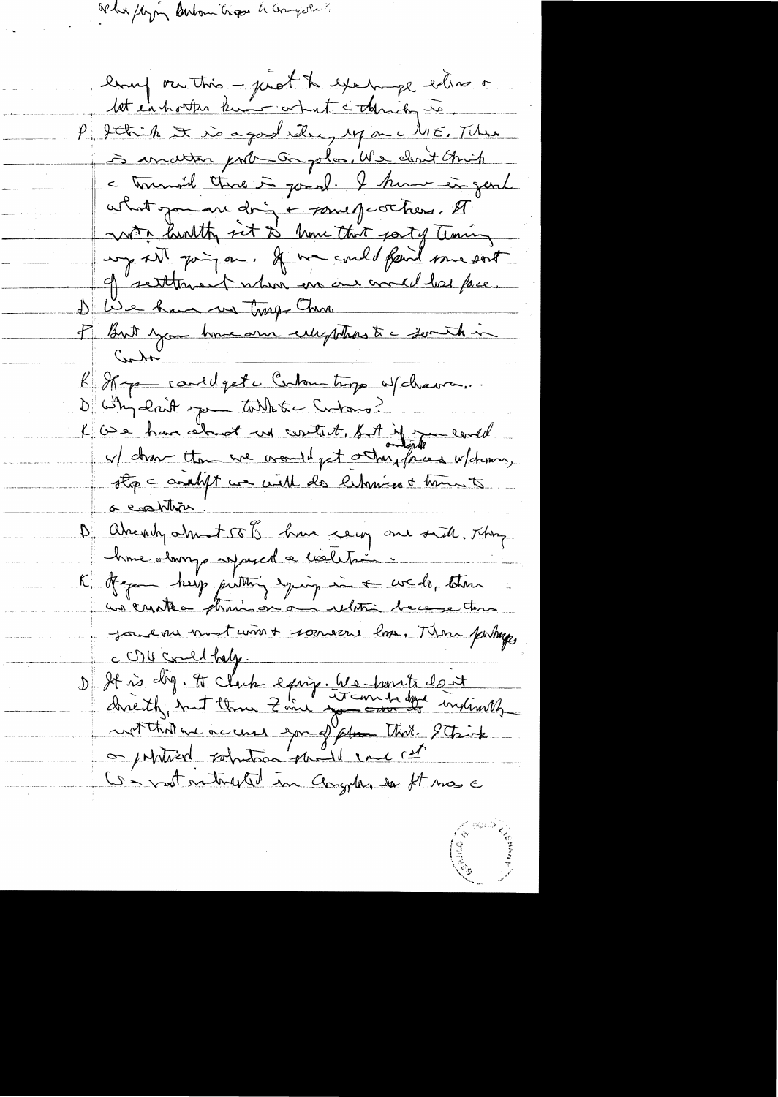What floying Buton trops & Graysle

lang ou this - just to except entire or let enharter kins what colonia is P. Jetich It is a good releasing up on a ME. There is inder port-on plan, We clear think - tournoir there is good. I hum in gent what you are doing + powerfacthers. A with huntty sit to have that gostof Terring un set paign. If we could faint some sort of settlement when we are and her face. De Lie have no troppa Chan I But you have one usefthas to something Cubr Represented get c Contain trop w/ chava. D'implaint pour tablete contains?"<br>L'Ose han about un content, sur de la concelle . stop = analyt we will do libraries + time to <u>a coordina</u> D'abrevely about 58 Janvie ceux are side, Thing hime alarrys symptol a coeletion. K of your help putting equipment of weds, then un creates phonon on a ultri because tom Journe most wint souverne los. There puttings c OU comed half. D It is dig. It clack earing. We hart don't<br>directly, but three Zone was done dire indicately Convert metrophed in Congress et ma a